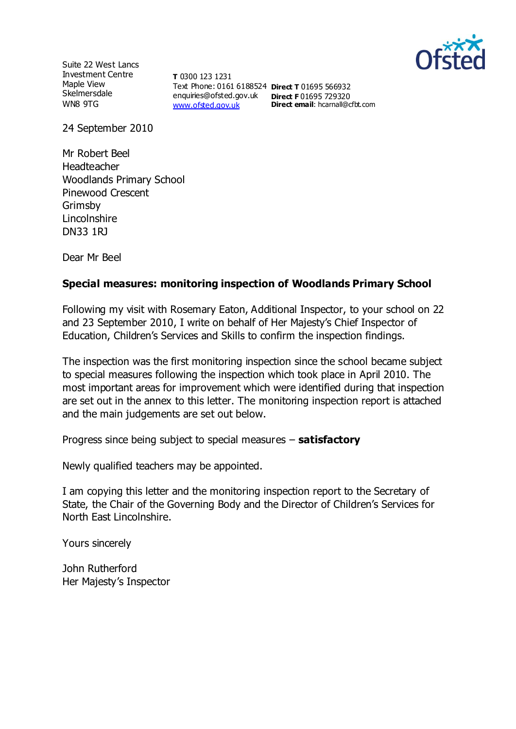

Suite 22 West Lancs Investment Centre Maple View **Skelmersdale** WN8 9TG

**T** 0300 123 1231 Text Phone: 0161 6188524 **Direct T** 01695 566932 enquiries@ofsted.gov.uk **Direct F** 01695 729320 [www.ofsted.gov.uk](http://www.ofsted.gov.uk/)

**Direct email**: hcarnall@cfbt.com

24 September 2010

Mr Robert Beel Headteacher Woodlands Primary School Pinewood Crescent Grimsby Lincolnshire DN33 1RJ

Dear Mr Beel

# **Special measures: monitoring inspection of Woodlands Primary School**

Following my visit with Rosemary Eaton, Additional Inspector, to your school on 22 and 23 September 2010, I write on behalf of Her Majesty's Chief Inspector of Education, Children's Services and Skills to confirm the inspection findings.

The inspection was the first monitoring inspection since the school became subject to special measures following the inspection which took place in April 2010. The most important areas for improvement which were identified during that inspection are set out in the annex to this letter. The monitoring inspection report is attached and the main judgements are set out below.

Progress since being subject to special measures – **satisfactory**

Newly qualified teachers may be appointed.

I am copying this letter and the monitoring inspection report to the Secretary of State, the Chair of the Governing Body and the Director of Children's Services for North East Lincolnshire.

Yours sincerely

John Rutherford Her Majesty's Inspector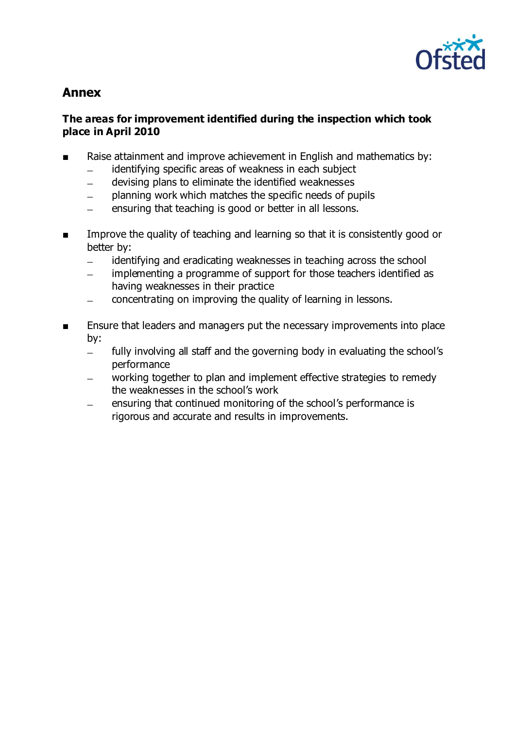

# **Annex**

#### **The areas for improvement identified during the inspection which took place in April 2010**

- Raise attainment and improve achievement in English and mathematics by:
	- identifying specific areas of weakness in each subject  $\frac{1}{2}$
	- devising plans to eliminate the identified weaknesses  $\equiv$
	- planning work which matches the specific needs of pupils  $\overline{\phantom{0}}$
	- ensuring that teaching is good or better in all lessons.
- Improve the quality of teaching and learning so that it is consistently good or better by:
	- identifying and eradicating weaknesses in teaching across the school  $\equiv$
	- implementing a programme of support for those teachers identified as  $\overline{\phantom{0}}$ having weaknesses in their practice
	- concentrating on improving the quality of learning in lessons.
- Ensure that leaders and managers put the necessary improvements into place by:
	- fully involving all staff and the governing body in evaluating the school's  $\overline{\phantom{0}}$ performance
	- working together to plan and implement effective strategies to remedy the weaknesses in the school's work
	- ensuring that continued monitoring of the school's performance is rigorous and accurate and results in improvements.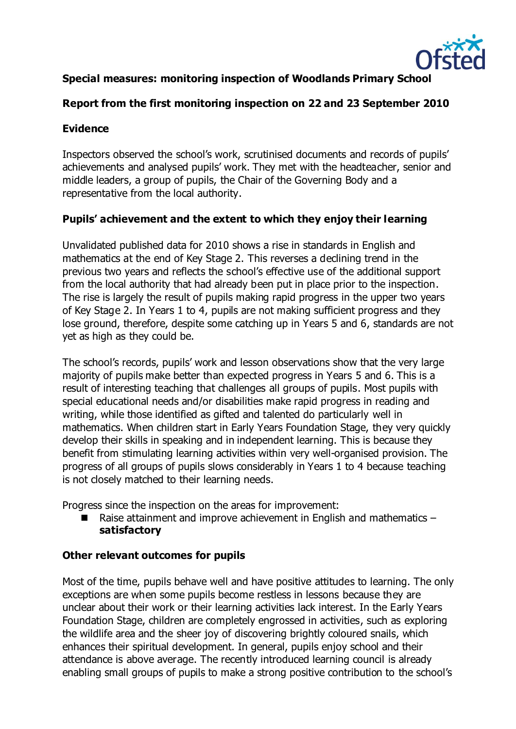

# **Special measures: monitoring inspection of Woodlands Primary School**

### **Report from the first monitoring inspection on 22 and 23 September 2010**

### **Evidence**

Inspectors observed the school's work, scrutinised documents and records of pupils' achievements and analysed pupils' work. They met with the headteacher, senior and middle leaders, a group of pupils, the Chair of the Governing Body and a representative from the local authority.

# **Pupils' achievement and the extent to which they enjoy their learning**

Unvalidated published data for 2010 shows a rise in standards in English and mathematics at the end of Key Stage 2. This reverses a declining trend in the previous two years and reflects the school's effective use of the additional support from the local authority that had already been put in place prior to the inspection. The rise is largely the result of pupils making rapid progress in the upper two years of Key Stage 2. In Years 1 to 4, pupils are not making sufficient progress and they lose ground, therefore, despite some catching up in Years 5 and 6, standards are not yet as high as they could be.

The school's records, pupils' work and lesson observations show that the very large majority of pupils make better than expected progress in Years 5 and 6. This is a result of interesting teaching that challenges all groups of pupils. Most pupils with special educational needs and/or disabilities make rapid progress in reading and writing, while those identified as gifted and talented do particularly well in mathematics. When children start in Early Years Foundation Stage, they very quickly develop their skills in speaking and in independent learning. This is because they benefit from stimulating learning activities within very well-organised provision. The progress of all groups of pupils slows considerably in Years 1 to 4 because teaching is not closely matched to their learning needs.

Progress since the inspection on the areas for improvement:

**Raise attainment and improve achievement in English and mathematics – satisfactory**

#### **Other relevant outcomes for pupils**

Most of the time, pupils behave well and have positive attitudes to learning. The only exceptions are when some pupils become restless in lessons because they are unclear about their work or their learning activities lack interest. In the Early Years Foundation Stage, children are completely engrossed in activities, such as exploring the wildlife area and the sheer joy of discovering brightly coloured snails, which enhances their spiritual development. In general, pupils enjoy school and their attendance is above average. The recently introduced learning council is already enabling small groups of pupils to make a strong positive contribution to the school's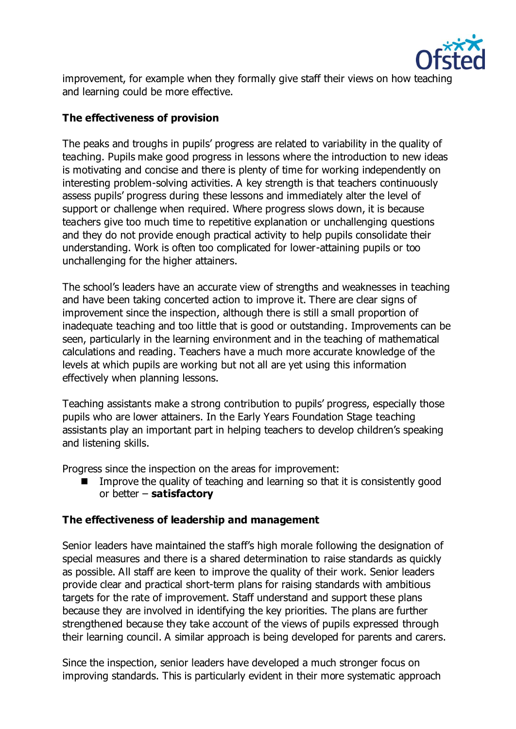

improvement, for example when they formally give staff their views on how teaching and learning could be more effective.

### **The effectiveness of provision**

The peaks and troughs in pupils' progress are related to variability in the quality of teaching. Pupils make good progress in lessons where the introduction to new ideas is motivating and concise and there is plenty of time for working independently on interesting problem-solving activities. A key strength is that teachers continuously assess pupils' progress during these lessons and immediately alter the level of support or challenge when required. Where progress slows down, it is because teachers give too much time to repetitive explanation or unchallenging questions and they do not provide enough practical activity to help pupils consolidate their understanding. Work is often too complicated for lower-attaining pupils or too unchallenging for the higher attainers.

The school's leaders have an accurate view of strengths and weaknesses in teaching and have been taking concerted action to improve it. There are clear signs of improvement since the inspection, although there is still a small proportion of inadequate teaching and too little that is good or outstanding. Improvements can be seen, particularly in the learning environment and in the teaching of mathematical calculations and reading. Teachers have a much more accurate knowledge of the levels at which pupils are working but not all are yet using this information effectively when planning lessons.

Teaching assistants make a strong contribution to pupils' progress, especially those pupils who are lower attainers. In the Early Years Foundation Stage teaching assistants play an important part in helping teachers to develop children's speaking and listening skills.

Progress since the inspection on the areas for improvement:

 Improve the quality of teaching and learning so that it is consistently good or better – **satisfactory**

#### **The effectiveness of leadership and management**

Senior leaders have maintained the staff's high morale following the designation of special measures and there is a shared determination to raise standards as quickly as possible. All staff are keen to improve the quality of their work. Senior leaders provide clear and practical short-term plans for raising standards with ambitious targets for the rate of improvement. Staff understand and support these plans because they are involved in identifying the key priorities. The plans are further strengthened because they take account of the views of pupils expressed through their learning council. A similar approach is being developed for parents and carers.

Since the inspection, senior leaders have developed a much stronger focus on improving standards. This is particularly evident in their more systematic approach